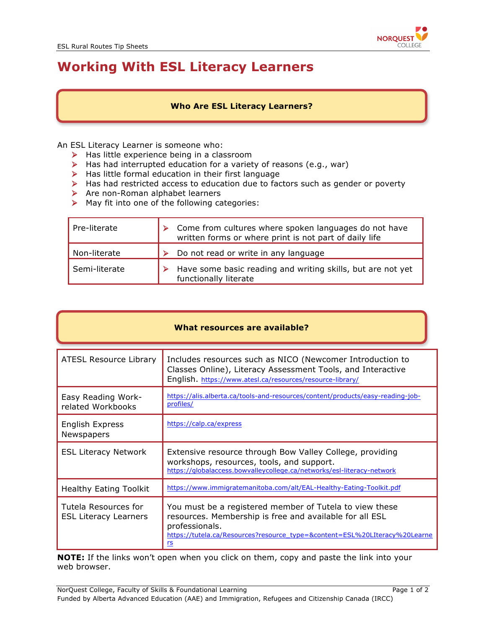

# **Working With ESL Literacy Learners**

#### **Who Are ESL Literacy Learners?**

An ESL Literacy Learner is someone who:

- $\triangleright$  Has little experience being in a classroom
- $\blacktriangleright$  Has had interrupted education for a variety of reasons (e.g., war)
- $\blacktriangleright$  Has little formal education in their first language
- Ø Has had restricted access to education due to factors such as gender or poverty
- $\triangleright$  Are non-Roman alphabet learners
- $\triangleright$  May fit into one of the following categories:

| Pre-literate  | Come from cultures where spoken languages do not have<br>written forms or where print is not part of daily life |  |  |  |
|---------------|-----------------------------------------------------------------------------------------------------------------|--|--|--|
| Non-literate  | Do not read or write in any language                                                                            |  |  |  |
| Semi-literate | Have some basic reading and writing skills, but are not yet<br>functionally literate                            |  |  |  |

|  | What resources are available? |  |  |
|--|-------------------------------|--|--|
|--|-------------------------------|--|--|

| <b>ATESL Resource Library</b>                        | Includes resources such as NICO (Newcomer Introduction to<br>Classes Online), Literacy Assessment Tools, and Interactive<br>English. https://www.atesl.ca/resources/resource-library/                                    |  |  |  |
|------------------------------------------------------|--------------------------------------------------------------------------------------------------------------------------------------------------------------------------------------------------------------------------|--|--|--|
| Easy Reading Work-<br>related Workbooks              | https://alis.alberta.ca/tools-and-resources/content/products/easy-reading-job-<br>profiles/                                                                                                                              |  |  |  |
| English Express<br>Newspapers                        | https://calp.ca/express                                                                                                                                                                                                  |  |  |  |
| <b>ESL Literacy Network</b>                          | Extensive resource through Bow Valley College, providing<br>workshops, resources, tools, and support.<br>https://globalaccess.bowvalleycollege.ca/networks/esl-literacy-network                                          |  |  |  |
| <b>Healthy Eating Toolkit</b>                        | https://www.immigratemanitoba.com/alt/EAL-Healthy-Eating-Toolkit.pdf                                                                                                                                                     |  |  |  |
| Tutela Resources for<br><b>ESL Literacy Learners</b> | You must be a registered member of Tutela to view these<br>resources. Membership is free and available for all ESL<br>professionals.<br>https://tutela.ca/Resources?resource_type=&content=ESL%20LIteracy%20Learne<br>rs |  |  |  |

**NOTE:** If the links won't open when you click on them, copy and paste the link into your web browser.